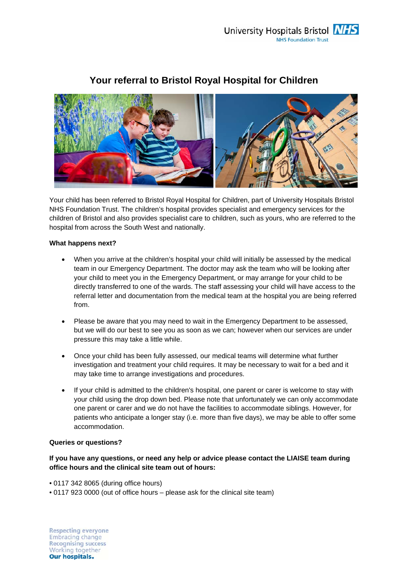

# **Your referral to Bristol Royal Hospital for Children**

Your child has been referred to Bristol Royal Hospital for Children, part of University Hospitals Bristol NHS Foundation Trust. The children's hospital provides specialist and emergency services for the children of Bristol and also provides specialist care to children, such as yours, who are referred to the hospital from across the South West and nationally.

# **What happens next?**

- When you arrive at the children's hospital your child will initially be assessed by the medical team in our Emergency Department. The doctor may ask the team who will be looking after your child to meet you in the Emergency Department, or may arrange for your child to be directly transferred to one of the wards. The staff assessing your child will have access to the referral letter and documentation from the medical team at the hospital you are being referred from.
- Please be aware that you may need to wait in the Emergency Department to be assessed, but we will do our best to see you as soon as we can; however when our services are under pressure this may take a little while.
- Once your child has been fully assessed, our medical teams will determine what further investigation and treatment your child requires. It may be necessary to wait for a bed and it may take time to arrange investigations and procedures.
- If your child is admitted to the children's hospital, one parent or carer is welcome to stay with your child using the drop down bed. Please note that unfortunately we can only accommodate one parent or carer and we do not have the facilities to accommodate siblings. However, for patients who anticipate a longer stay (i.e. more than five days), we may be able to offer some accommodation.

# **Queries or questions?**

# **If you have any questions, or need any help or advice please contact the LIAISE team during office hours and the clinical site team out of hours:**

- 0117 342 8065 (during office hours)
- 0117 923 0000 (out of office hours please ask for the clinical site team)

**Respecting everyone** Embracing change **Recognising success** Working together **Our hospitals.**